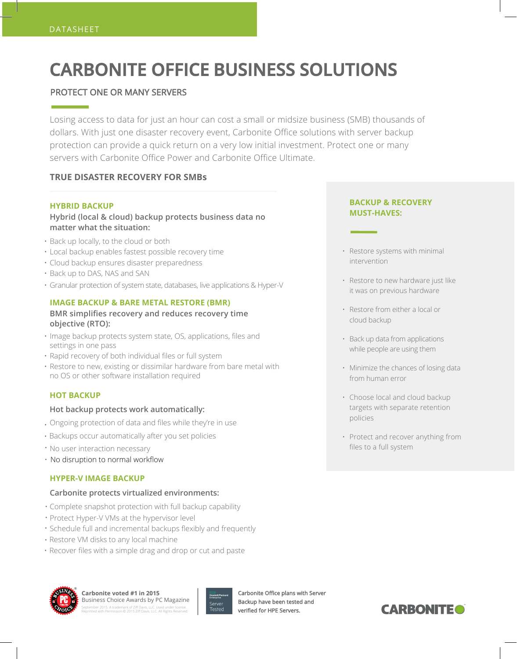# **CARBONITE OFFICE BUSINESS SOLUTIONS**

# PROTECT ONE OR MANY SERVERS

Losing access to data for just an hour can cost a small or midsize business (SMB) thousands of dollars. With just one disaster recovery event, Carbonite Office solutions with server backup protection can provide a quick return on a very low initial investment. Protect one or many servers with Carbonite Office Power and Carbonite Office Ultimate.

# **TRUE DISASTER RECOVERY FOR SMBs**

## **HYBRID BACKUP**

**Hybrid (local & cloud) backup protects business data no matter what the situation:**

- Back up locally, to the cloud or both
- Local backup enables fastest possible recovery time
- Cloud backup ensures disaster preparedness
- Back up to DAS, NAS and SAN
- Granular protection of system state, databases, live applications & Hyper-V

## **IMAGE BACKUP & BARE METAL RESTORE (BMR)**

## **BMR simplifies recovery and reduces recovery time objective (RTO):**

- Image backup protects system state, OS, applications, files and settings in one pass
- Rapid recovery of both individual files or full system
- Restore to new, existing or dissimilar hardware from bare metal with no OS or other software installation required

## **HOT BACKUP**

## **Hot backup protects work automatically:**

- Ongoing protection of data and files while they're in use
- Backups occur automatically after you set policies
- No user interaction necessary
- No disruption to normal workflow

## **HYPER-V IMAGE BACKUP**

## **Carbonite protects virtualized environments:**

- Complete snapshot protection with full backup capability
- Protect Hyper-V VMs at the hypervisor level
- Schedule full and incremental backups flexibly and frequently
- Restore VM disks to any local machine
- Recover files with a simple drag and drop or cut and paste

## **BACKUP & RECOVERY MUST-HAVES:**

- Restore systems with minimal intervention
- Restore to new hardware just like it was on previous hardware
- Restore from either a local or cloud backup
- Back up data from applications while people are using them
- Minimize the chances of losing data from human error
- Choose local and cloud backup targets with separate retention policies
- Protect and recover anything from files to a full system



#### **Carbonite voted #1 in 2015** Business Choice Awards by PC Magazine September 2015. A trademark of Ziff Davis, LLC. Used under license. Reprinted with Permission © 2015 Ziff Davis, LLC. All Rights Reserved.



Carbonite Office plans with Server Backup have been tested and verified for HPE Servers.